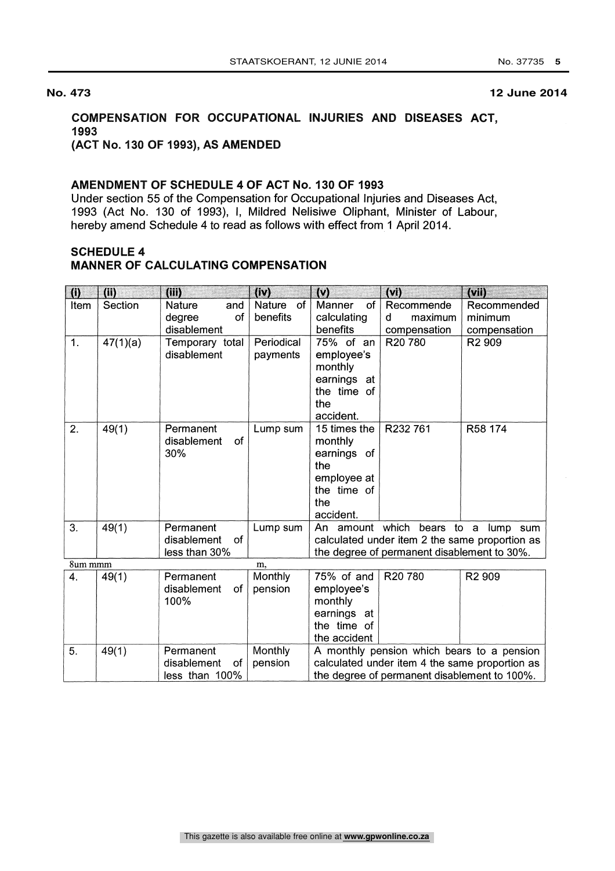# COMPENSATION FOR OCCUPATIONAL INJURIES AND DISEASES ACT, 1993

## (ACT No. 130 OF 1993), AS AMENDED

#### AMENDMENT OF SCHEDULE 4 OF ACT No. 130 OF 1993

Under section 55 of the Compensation for Occupational Injuries and Diseases Act, 1993 (Act No. 130 of 1993), I, Mildred Nelisiwe Oliphant, Minister of Labour, hereby amend Schedule 4 to read as follows with effect from 1 April 2014.

# SCHEDULE 4

#### MANNER OF CALCULATING COMPENSATION

| $\bf (i)$          | (i)      | (iii)                        | (iv)       | (v)                                            | (v)                                        | $(\vee\mathbf{h})$ |  |
|--------------------|----------|------------------------------|------------|------------------------------------------------|--------------------------------------------|--------------------|--|
| Item               | Section  | Nature<br>and                | Nature of  | Manner<br>of                                   | Recommende                                 | Recommended        |  |
|                    |          | degree<br>οf                 | benefits   | calculating                                    | d<br>maximum                               | minimum            |  |
|                    |          | disablement                  |            | benefits                                       | compensation                               | compensation       |  |
| 1.                 | 47(1)(a) | Temporary total              | Periodical | 75% of an                                      | R20 780                                    | R <sub>2</sub> 909 |  |
|                    |          | disablement                  | payments   | employee's                                     |                                            |                    |  |
|                    |          |                              |            | monthly                                        |                                            |                    |  |
|                    |          |                              |            | earnings at                                    |                                            |                    |  |
|                    |          |                              |            | the time of                                    |                                            |                    |  |
|                    |          |                              |            | the                                            |                                            |                    |  |
|                    |          |                              |            | accident.                                      |                                            |                    |  |
| 2.                 | 49(1)    | Permanent                    | Lump sum   | 15 times the                                   | R232 761                                   | R58 174            |  |
|                    |          | of<br>disablement            |            | monthly                                        |                                            |                    |  |
|                    |          | 30%                          |            | earnings of                                    |                                            |                    |  |
|                    |          |                              |            | the                                            |                                            |                    |  |
|                    |          |                              |            | employee at                                    |                                            |                    |  |
|                    |          |                              |            | the time of                                    |                                            |                    |  |
|                    |          |                              |            | the                                            |                                            |                    |  |
|                    |          |                              |            | accident.                                      |                                            |                    |  |
| 3.                 | 49(1)    | Permanent                    | Lump sum   | An amount which bears to a<br>lump sum         |                                            |                    |  |
|                    |          | <sub>of</sub><br>disablement |            | calculated under item 2 the same proportion as |                                            |                    |  |
|                    |          | less than 30%                |            | the degree of permanent disablement to 30%.    |                                            |                    |  |
| 8um mmm            |          |                              | m,         |                                                |                                            |                    |  |
| $\boldsymbol{4}$ . | 49(1)    | Permanent                    | Monthly    | 75% of and                                     | R20 780                                    | R <sub>2</sub> 909 |  |
|                    |          | of<br>disablement            | pension    | employee's                                     |                                            |                    |  |
|                    |          | 100%                         |            | monthly                                        |                                            |                    |  |
|                    |          |                              |            | earnings at                                    |                                            |                    |  |
|                    |          |                              |            | the time of                                    |                                            |                    |  |
|                    |          |                              |            | the accident                                   |                                            |                    |  |
| 5.                 | 49(1)    | Permanent                    | Monthly    |                                                | A monthly pension which bears to a pension |                    |  |
|                    |          | disablement<br>of            | pension    | calculated under item 4 the same proportion as |                                            |                    |  |
|                    |          | less than 100%               |            | the degree of permanent disablement to 100%.   |                                            |                    |  |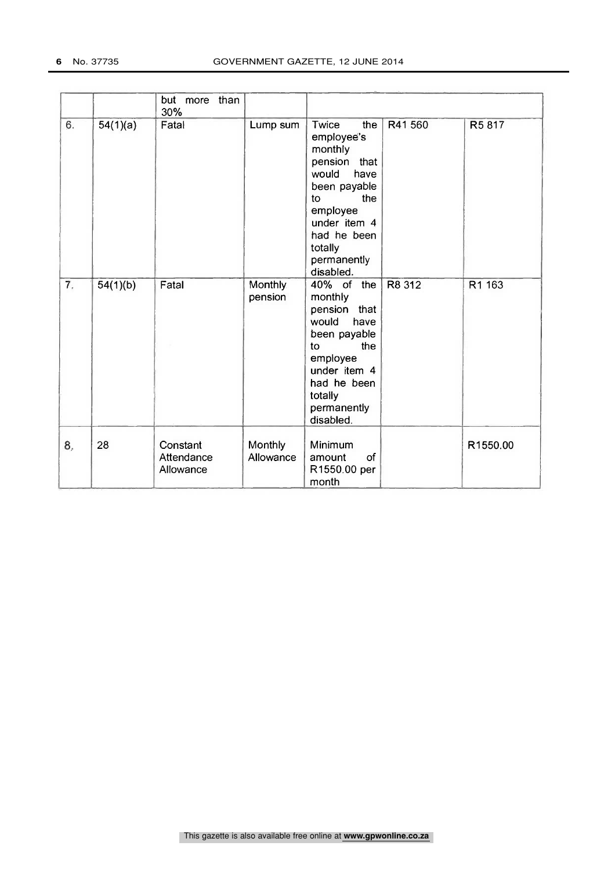|    |          | but more than<br>30%                |                      |                                                                                                                                                                                          |        |          |
|----|----------|-------------------------------------|----------------------|------------------------------------------------------------------------------------------------------------------------------------------------------------------------------------------|--------|----------|
| 6. | 54(1)(a) | Fatal                               | Lump sum             | Twice<br>the<br>employee's<br>monthly<br>pension<br>that<br>would<br>have<br>been payable<br>the<br>to<br>employee<br>under item 4<br>had he been<br>totally<br>permanently<br>disabled. | R41560 | R5817    |
| 7. | 54(1)(b) | Fatal                               | Monthly.<br>pension  | 40% of the<br>monthly<br>that<br>pension<br>would<br>have<br>been payable<br>the<br>to<br>employee<br>under item 4<br>had he been<br>totally<br>permanently<br>disabled.                 | R8 312 | R1 163   |
| 8, | 28       | Constant<br>Attendance<br>Allowance | Monthly<br>Allowance | Minimum<br>of<br>amount<br>R1550.00 per<br>month                                                                                                                                         |        | R1550.00 |